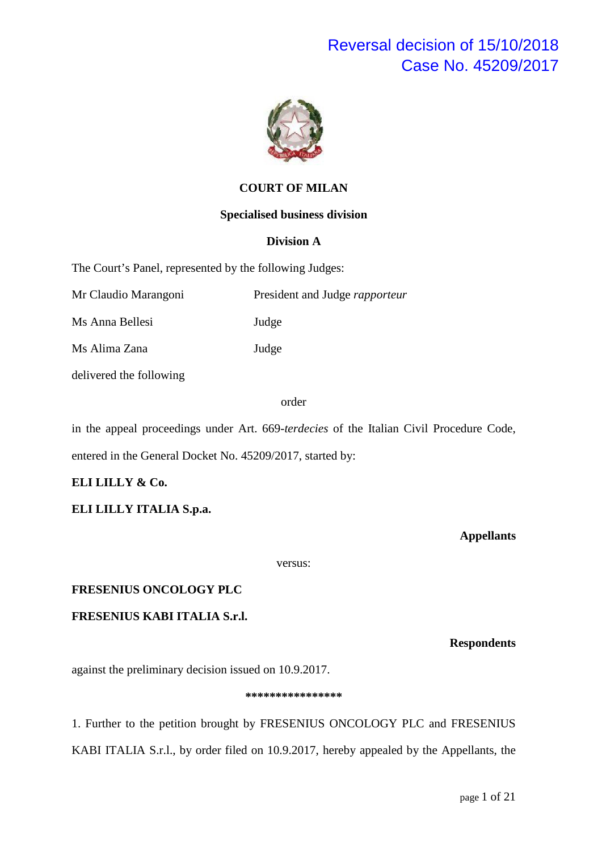

#### **COURT OF MILAN**

#### **Specialised business division**

#### **Division A**

The Court's Panel, represented by the following Judges:

Mr Claudio Marangoni President and Judge *rapporteur*

Ms Anna Bellesi Judge

Ms Alima Zana Judge

delivered the following

#### order

in the appeal proceedings under Art. 669-*terdecies* of the Italian Civil Procedure Code, entered in the General Docket No. 45209/2017, started by:

#### **ELI LILLY & Co.**

**ELI LILLY ITALIA S.p.a.** 

**Appellants**

versus:

#### **FRESENIUS ONCOLOGY PLC**

#### **FRESENIUS KABI ITALIA S.r.l.**

#### **Respondents**

against the preliminary decision issued on 10.9.2017.

#### **\*\*\*\*\*\*\*\*\*\*\*\*\*\*\*\***

1. Further to the petition brought by FRESENIUS ONCOLOGY PLC and FRESENIUS KABI ITALIA S.r.l., by order filed on 10.9.2017, hereby appealed by the Appellants, the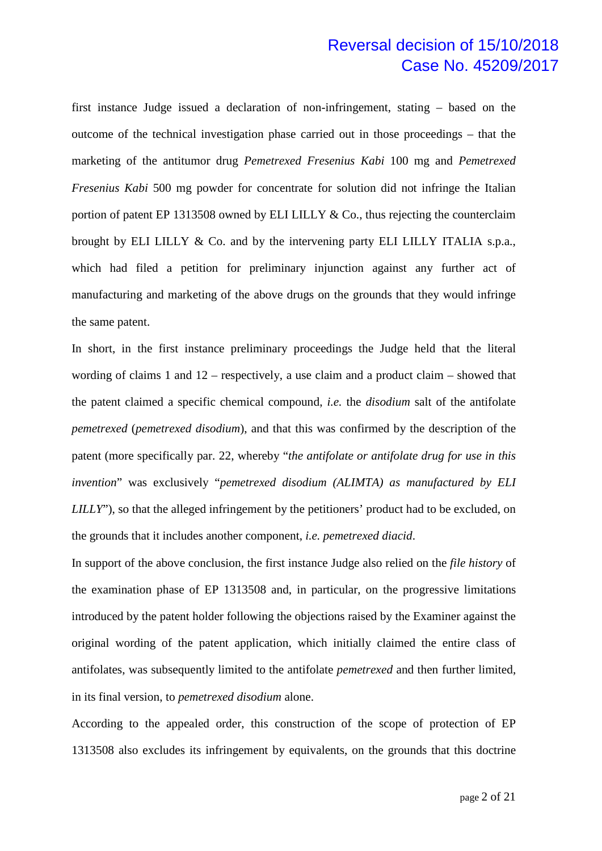first instance Judge issued a declaration of non-infringement, stating – based on the outcome of the technical investigation phase carried out in those proceedings – that the marketing of the antitumor drug *Pemetrexed Fresenius Kabi* 100 mg and *Pemetrexed Fresenius Kabi* 500 mg powder for concentrate for solution did not infringe the Italian portion of patent EP 1313508 owned by ELI LILLY & Co., thus rejecting the counterclaim brought by ELI LILLY & Co. and by the intervening party ELI LILLY ITALIA s.p.a., which had filed a petition for preliminary injunction against any further act of manufacturing and marketing of the above drugs on the grounds that they would infringe the same patent.

In short, in the first instance preliminary proceedings the Judge held that the literal wording of claims 1 and 12 – respectively, a use claim and a product claim – showed that the patent claimed a specific chemical compound, *i.e.* the *disodium* salt of the antifolate *pemetrexed* (*pemetrexed disodium*), and that this was confirmed by the description of the patent (more specifically par. 22, whereby "*the antifolate or antifolate drug for use in this invention*" was exclusively "*pemetrexed disodium (ALIMTA) as manufactured by ELI LILLY*"), so that the alleged infringement by the petitioners' product had to be excluded, on the grounds that it includes another component, *i.e. pemetrexed diacid*.

In support of the above conclusion, the first instance Judge also relied on the *file history* of the examination phase of EP 1313508 and, in particular, on the progressive limitations introduced by the patent holder following the objections raised by the Examiner against the original wording of the patent application, which initially claimed the entire class of antifolates, was subsequently limited to the antifolate *pemetrexed* and then further limited, in its final version, to *pemetrexed disodium* alone.

According to the appealed order, this construction of the scope of protection of EP 1313508 also excludes its infringement by equivalents, on the grounds that this doctrine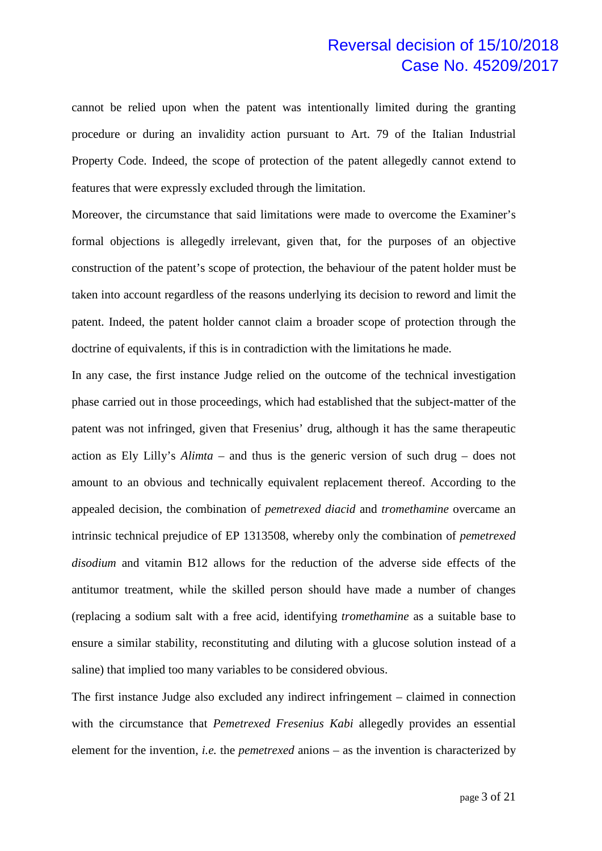cannot be relied upon when the patent was intentionally limited during the granting procedure or during an invalidity action pursuant to Art. 79 of the Italian Industrial Property Code. Indeed, the scope of protection of the patent allegedly cannot extend to features that were expressly excluded through the limitation.

Moreover, the circumstance that said limitations were made to overcome the Examiner's formal objections is allegedly irrelevant, given that, for the purposes of an objective construction of the patent's scope of protection, the behaviour of the patent holder must be taken into account regardless of the reasons underlying its decision to reword and limit the patent. Indeed, the patent holder cannot claim a broader scope of protection through the doctrine of equivalents, if this is in contradiction with the limitations he made.

In any case, the first instance Judge relied on the outcome of the technical investigation phase carried out in those proceedings, which had established that the subject-matter of the patent was not infringed, given that Fresenius' drug, although it has the same therapeutic action as Ely Lilly's *Alimta* – and thus is the generic version of such drug – does not amount to an obvious and technically equivalent replacement thereof. According to the appealed decision, the combination of *pemetrexed diacid* and *tromethamine* overcame an intrinsic technical prejudice of EP 1313508, whereby only the combination of *pemetrexed disodium* and vitamin B12 allows for the reduction of the adverse side effects of the antitumor treatment, while the skilled person should have made a number of changes (replacing a sodium salt with a free acid, identifying *tromethamine* as a suitable base to ensure a similar stability, reconstituting and diluting with a glucose solution instead of a saline) that implied too many variables to be considered obvious.

The first instance Judge also excluded any indirect infringement – claimed in connection with the circumstance that *Pemetrexed Fresenius Kabi* allegedly provides an essential element for the invention, *i.e.* the *pemetrexed* anions – as the invention is characterized by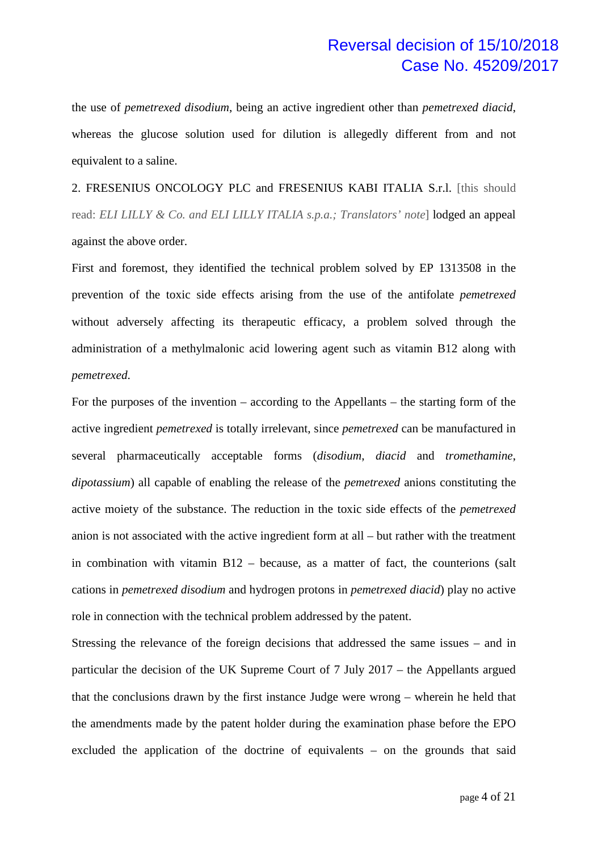the use of *pemetrexed disodium*, being an active ingredient other than *pemetrexed diacid*, whereas the glucose solution used for dilution is allegedly different from and not equivalent to a saline.

2. FRESENIUS ONCOLOGY PLC and FRESENIUS KABI ITALIA S.r.l. [this should read: *ELI LILLY & Co. and ELI LILLY ITALIA s.p.a.; Translators' note*] lodged an appeal against the above order.

First and foremost, they identified the technical problem solved by EP 1313508 in the prevention of the toxic side effects arising from the use of the antifolate *pemetrexed* without adversely affecting its therapeutic efficacy, a problem solved through the administration of a methylmalonic acid lowering agent such as vitamin B12 along with *pemetrexed*.

For the purposes of the invention – according to the Appellants – the starting form of the active ingredient *pemetrexed* is totally irrelevant, since *pemetrexed* can be manufactured in several pharmaceutically acceptable forms (*disodium*, *diacid* and *tromethamine*, *dipotassium*) all capable of enabling the release of the *pemetrexed* anions constituting the active moiety of the substance. The reduction in the toxic side effects of the *pemetrexed* anion is not associated with the active ingredient form at all – but rather with the treatment in combination with vitamin B12 – because, as a matter of fact, the counterions (salt cations in *pemetrexed disodium* and hydrogen protons in *pemetrexed diacid*) play no active role in connection with the technical problem addressed by the patent.

Stressing the relevance of the foreign decisions that addressed the same issues – and in particular the decision of the UK Supreme Court of 7 July 2017 – the Appellants argued that the conclusions drawn by the first instance Judge were wrong – wherein he held that the amendments made by the patent holder during the examination phase before the EPO excluded the application of the doctrine of equivalents – on the grounds that said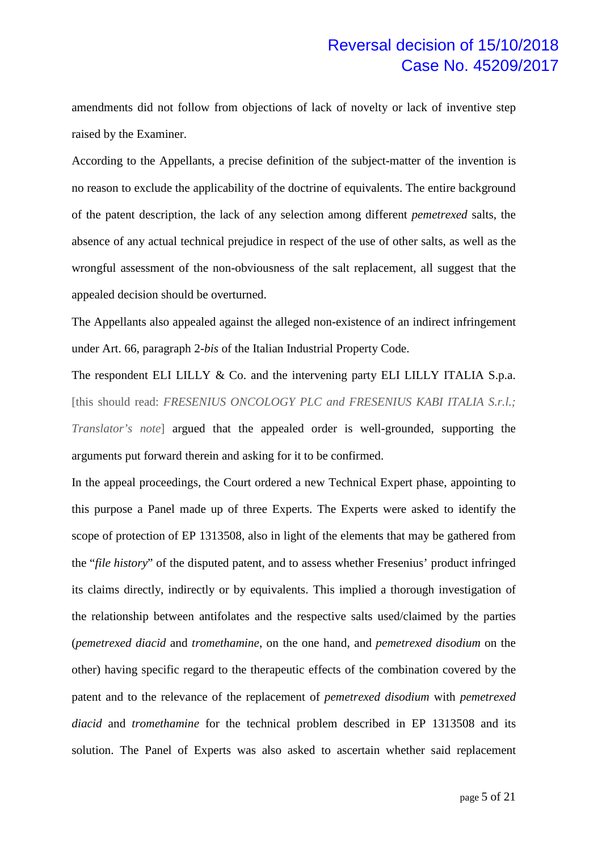amendments did not follow from objections of lack of novelty or lack of inventive step raised by the Examiner.

According to the Appellants, a precise definition of the subject-matter of the invention is no reason to exclude the applicability of the doctrine of equivalents. The entire background of the patent description, the lack of any selection among different *pemetrexed* salts, the absence of any actual technical prejudice in respect of the use of other salts, as well as the wrongful assessment of the non-obviousness of the salt replacement, all suggest that the appealed decision should be overturned.

The Appellants also appealed against the alleged non-existence of an indirect infringement under Art. 66, paragraph 2-*bis* of the Italian Industrial Property Code.

The respondent ELI LILLY & Co. and the intervening party ELI LILLY ITALIA S.p.a. [this should read: *FRESENIUS ONCOLOGY PLC and FRESENIUS KABI ITALIA S.r.l.*; *Translator's note*] argued that the appealed order is well-grounded, supporting the arguments put forward therein and asking for it to be confirmed.

In the appeal proceedings, the Court ordered a new Technical Expert phase, appointing to this purpose a Panel made up of three Experts. The Experts were asked to identify the scope of protection of EP 1313508, also in light of the elements that may be gathered from the "*file history*" of the disputed patent, and to assess whether Fresenius' product infringed its claims directly, indirectly or by equivalents. This implied a thorough investigation of the relationship between antifolates and the respective salts used/claimed by the parties (*pemetrexed diacid* and *tromethamine*, on the one hand, and *pemetrexed disodium* on the other) having specific regard to the therapeutic effects of the combination covered by the patent and to the relevance of the replacement of *pemetrexed disodium* with *pemetrexed diacid* and *tromethamine* for the technical problem described in EP 1313508 and its solution. The Panel of Experts was also asked to ascertain whether said replacement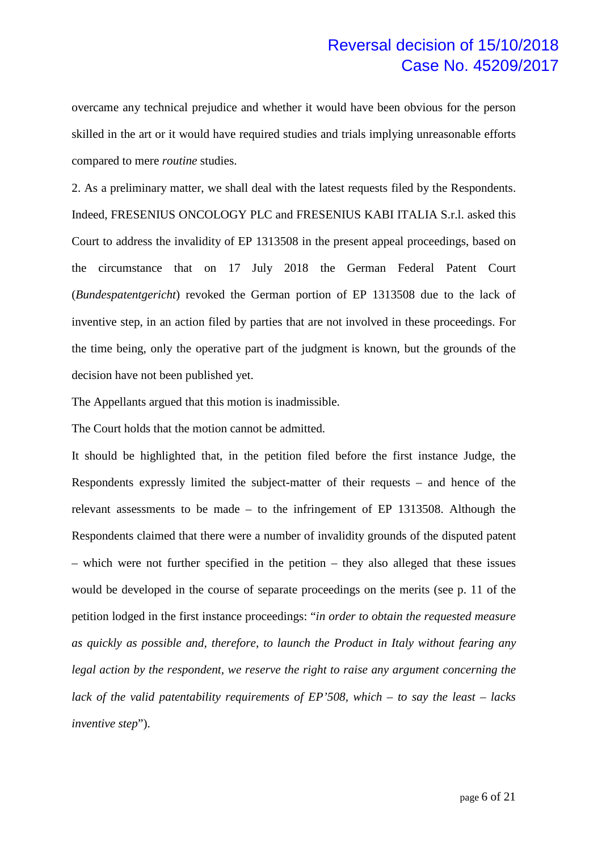overcame any technical prejudice and whether it would have been obvious for the person skilled in the art or it would have required studies and trials implying unreasonable efforts compared to mere *routine* studies.

2. As a preliminary matter, we shall deal with the latest requests filed by the Respondents. Indeed, FRESENIUS ONCOLOGY PLC and FRESENIUS KABI ITALIA S.r.l. asked this Court to address the invalidity of EP 1313508 in the present appeal proceedings, based on the circumstance that on 17 July 2018 the German Federal Patent Court (*Bundespatentgericht*) revoked the German portion of EP 1313508 due to the lack of inventive step, in an action filed by parties that are not involved in these proceedings. For the time being, only the operative part of the judgment is known, but the grounds of the decision have not been published yet.

The Appellants argued that this motion is inadmissible.

The Court holds that the motion cannot be admitted.

It should be highlighted that, in the petition filed before the first instance Judge, the Respondents expressly limited the subject-matter of their requests – and hence of the relevant assessments to be made – to the infringement of EP 1313508. Although the Respondents claimed that there were a number of invalidity grounds of the disputed patent – which were not further specified in the petition – they also alleged that these issues would be developed in the course of separate proceedings on the merits (see p. 11 of the petition lodged in the first instance proceedings: "*in order to obtain the requested measure as quickly as possible and, therefore, to launch the Product in Italy without fearing any legal action by the respondent, we reserve the right to raise any argument concerning the lack of the valid patentability requirements of EP'508, which – to say the least – lacks inventive step*").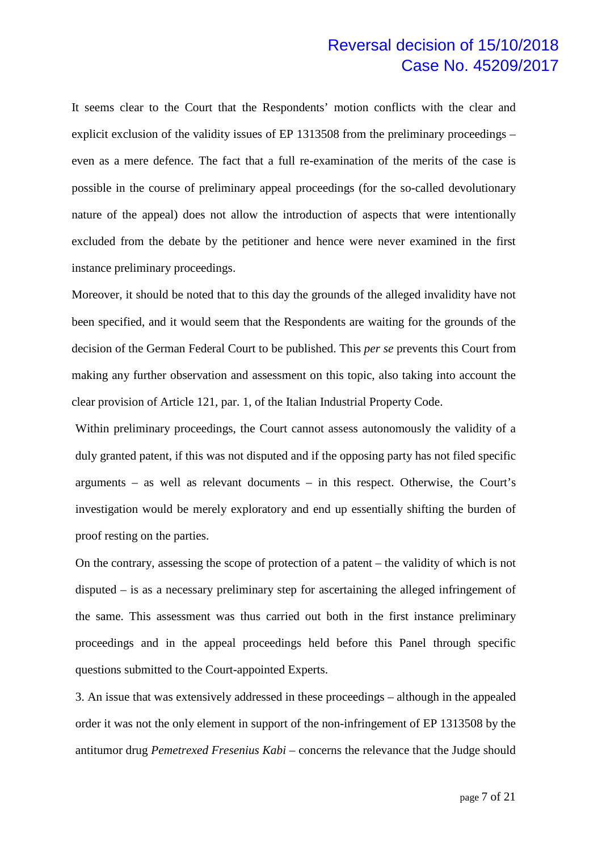It seems clear to the Court that the Respondents' motion conflicts with the clear and explicit exclusion of the validity issues of EP 1313508 from the preliminary proceedings – even as a mere defence. The fact that a full re-examination of the merits of the case is possible in the course of preliminary appeal proceedings (for the so-called devolutionary nature of the appeal) does not allow the introduction of aspects that were intentionally excluded from the debate by the petitioner and hence were never examined in the first instance preliminary proceedings.

Moreover, it should be noted that to this day the grounds of the alleged invalidity have not been specified, and it would seem that the Respondents are waiting for the grounds of the decision of the German Federal Court to be published. This *per se* prevents this Court from making any further observation and assessment on this topic, also taking into account the clear provision of Article 121, par. 1, of the Italian Industrial Property Code.

Within preliminary proceedings, the Court cannot assess autonomously the validity of a duly granted patent, if this was not disputed and if the opposing party has not filed specific arguments – as well as relevant documents – in this respect. Otherwise, the Court's investigation would be merely exploratory and end up essentially shifting the burden of proof resting on the parties.

On the contrary, assessing the scope of protection of a patent – the validity of which is not disputed – is as a necessary preliminary step for ascertaining the alleged infringement of the same. This assessment was thus carried out both in the first instance preliminary proceedings and in the appeal proceedings held before this Panel through specific questions submitted to the Court-appointed Experts.

3. An issue that was extensively addressed in these proceedings – although in the appealed order it was not the only element in support of the non-infringement of EP 1313508 by the antitumor drug *Pemetrexed Fresenius Kabi* – concerns the relevance that the Judge should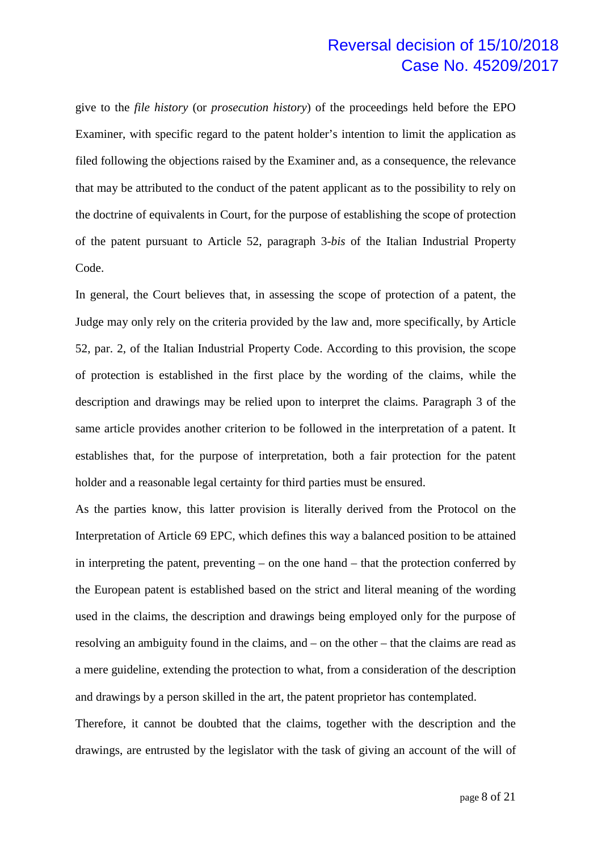give to the *file history* (or *prosecution history*) of the proceedings held before the EPO Examiner, with specific regard to the patent holder's intention to limit the application as filed following the objections raised by the Examiner and, as a consequence, the relevance that may be attributed to the conduct of the patent applicant as to the possibility to rely on the doctrine of equivalents in Court, for the purpose of establishing the scope of protection of the patent pursuant to Article 52, paragraph 3-*bis* of the Italian Industrial Property Code.

In general, the Court believes that, in assessing the scope of protection of a patent, the Judge may only rely on the criteria provided by the law and, more specifically, by Article 52, par. 2, of the Italian Industrial Property Code. According to this provision, the scope of protection is established in the first place by the wording of the claims, while the description and drawings may be relied upon to interpret the claims. Paragraph 3 of the same article provides another criterion to be followed in the interpretation of a patent. It establishes that, for the purpose of interpretation, both a fair protection for the patent holder and a reasonable legal certainty for third parties must be ensured.

As the parties know, this latter provision is literally derived from the Protocol on the Interpretation of Article 69 EPC, which defines this way a balanced position to be attained in interpreting the patent, preventing – on the one hand – that the protection conferred by the European patent is established based on the strict and literal meaning of the wording used in the claims, the description and drawings being employed only for the purpose of resolving an ambiguity found in the claims, and – on the other – that the claims are read as a mere guideline, extending the protection to what, from a consideration of the description and drawings by a person skilled in the art, the patent proprietor has contemplated.

Therefore, it cannot be doubted that the claims, together with the description and the drawings, are entrusted by the legislator with the task of giving an account of the will of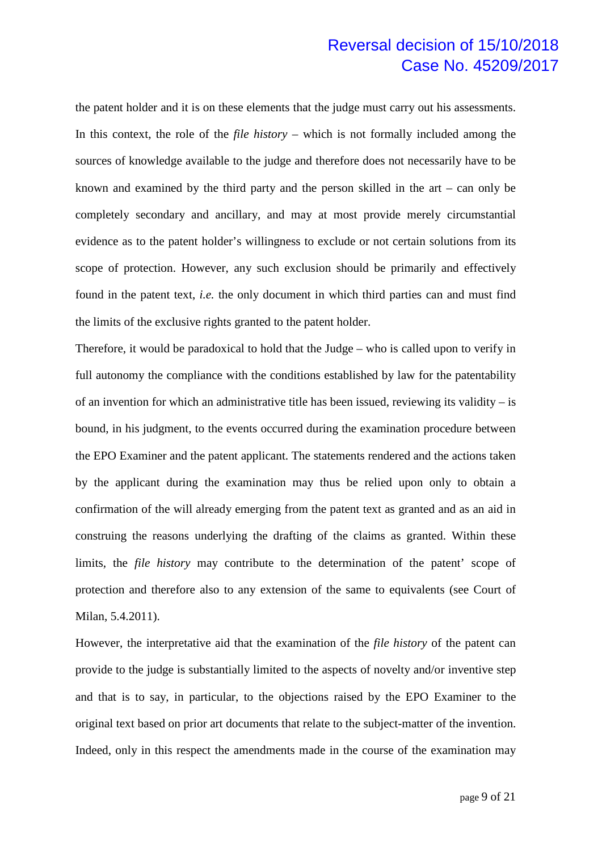the patent holder and it is on these elements that the judge must carry out his assessments. In this context, the role of the *file history* – which is not formally included among the sources of knowledge available to the judge and therefore does not necessarily have to be known and examined by the third party and the person skilled in the art – can only be completely secondary and ancillary, and may at most provide merely circumstantial evidence as to the patent holder's willingness to exclude or not certain solutions from its scope of protection. However, any such exclusion should be primarily and effectively found in the patent text, *i.e.* the only document in which third parties can and must find the limits of the exclusive rights granted to the patent holder.

Therefore, it would be paradoxical to hold that the Judge – who is called upon to verify in full autonomy the compliance with the conditions established by law for the patentability of an invention for which an administrative title has been issued, reviewing its validity  $-$  is bound, in his judgment, to the events occurred during the examination procedure between the EPO Examiner and the patent applicant. The statements rendered and the actions taken by the applicant during the examination may thus be relied upon only to obtain a confirmation of the will already emerging from the patent text as granted and as an aid in construing the reasons underlying the drafting of the claims as granted. Within these limits, the *file history* may contribute to the determination of the patent' scope of protection and therefore also to any extension of the same to equivalents (see Court of Milan, 5.4.2011).

However, the interpretative aid that the examination of the *file history* of the patent can provide to the judge is substantially limited to the aspects of novelty and/or inventive step and that is to say, in particular, to the objections raised by the EPO Examiner to the original text based on prior art documents that relate to the subject-matter of the invention. Indeed, only in this respect the amendments made in the course of the examination may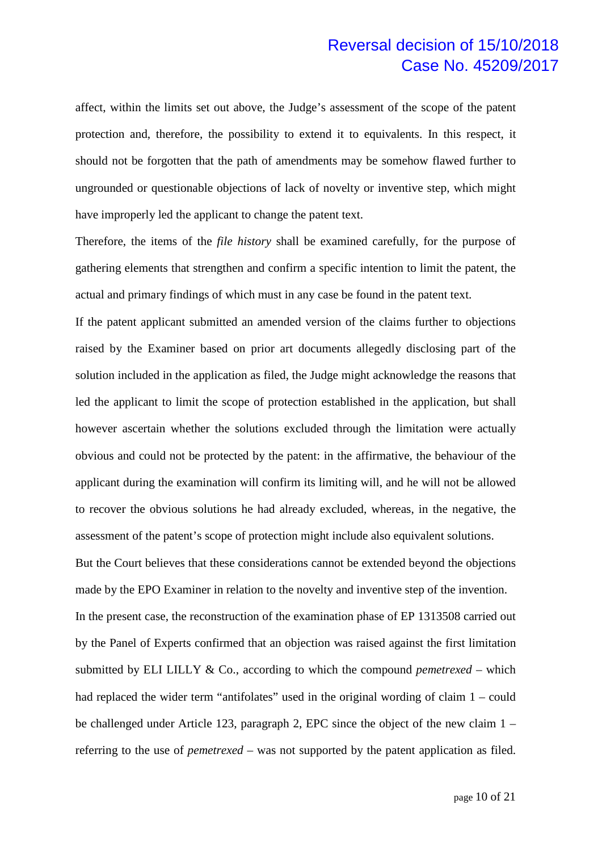affect, within the limits set out above, the Judge's assessment of the scope of the patent protection and, therefore, the possibility to extend it to equivalents. In this respect, it should not be forgotten that the path of amendments may be somehow flawed further to ungrounded or questionable objections of lack of novelty or inventive step, which might have improperly led the applicant to change the patent text.

Therefore, the items of the *file history* shall be examined carefully, for the purpose of gathering elements that strengthen and confirm a specific intention to limit the patent, the actual and primary findings of which must in any case be found in the patent text.

If the patent applicant submitted an amended version of the claims further to objections raised by the Examiner based on prior art documents allegedly disclosing part of the solution included in the application as filed, the Judge might acknowledge the reasons that led the applicant to limit the scope of protection established in the application, but shall however ascertain whether the solutions excluded through the limitation were actually obvious and could not be protected by the patent: in the affirmative, the behaviour of the applicant during the examination will confirm its limiting will, and he will not be allowed to recover the obvious solutions he had already excluded, whereas, in the negative, the assessment of the patent's scope of protection might include also equivalent solutions.

But the Court believes that these considerations cannot be extended beyond the objections made by the EPO Examiner in relation to the novelty and inventive step of the invention. In the present case, the reconstruction of the examination phase of EP 1313508 carried out by the Panel of Experts confirmed that an objection was raised against the first limitation submitted by ELI LILLY  $\&$  Co., according to which the compound *pemetrexed* – which had replaced the wider term "antifolates" used in the original wording of claim 1 – could be challenged under Article 123, paragraph 2, EPC since the object of the new claim 1 – referring to the use of *pemetrexed* – was not supported by the patent application as filed.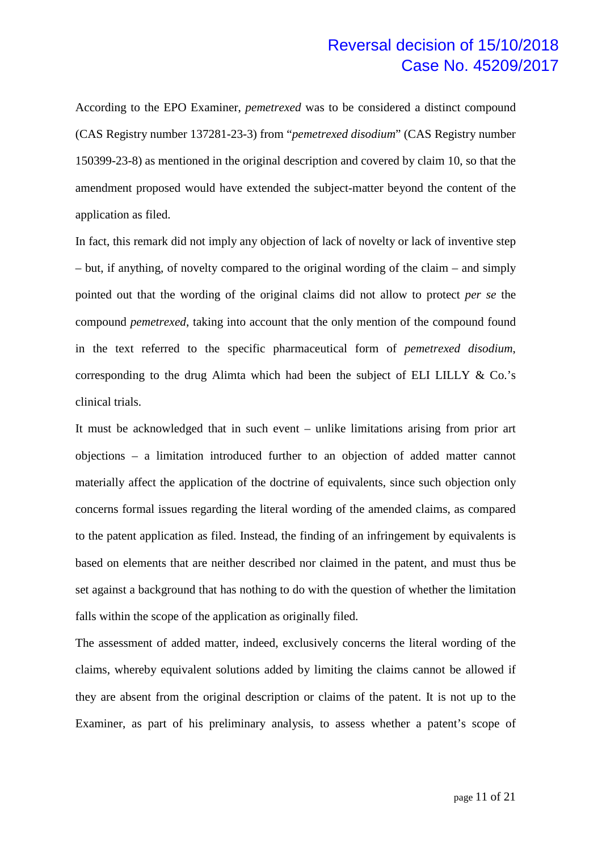According to the EPO Examiner, *pemetrexed* was to be considered a distinct compound (CAS Registry number 137281-23-3) from "*pemetrexed disodium*" (CAS Registry number 150399-23-8) as mentioned in the original description and covered by claim 10, so that the amendment proposed would have extended the subject-matter beyond the content of the application as filed.

In fact, this remark did not imply any objection of lack of novelty or lack of inventive step – but, if anything, of novelty compared to the original wording of the claim – and simply pointed out that the wording of the original claims did not allow to protect *per se* the compound *pemetrexed*, taking into account that the only mention of the compound found in the text referred to the specific pharmaceutical form of *pemetrexed disodium*, corresponding to the drug Alimta which had been the subject of ELI LILLY & Co.'s clinical trials.

It must be acknowledged that in such event – unlike limitations arising from prior art objections – a limitation introduced further to an objection of added matter cannot materially affect the application of the doctrine of equivalents, since such objection only concerns formal issues regarding the literal wording of the amended claims, as compared to the patent application as filed. Instead, the finding of an infringement by equivalents is based on elements that are neither described nor claimed in the patent, and must thus be set against a background that has nothing to do with the question of whether the limitation falls within the scope of the application as originally filed.

The assessment of added matter, indeed, exclusively concerns the literal wording of the claims, whereby equivalent solutions added by limiting the claims cannot be allowed if they are absent from the original description or claims of the patent. It is not up to the Examiner, as part of his preliminary analysis, to assess whether a patent's scope of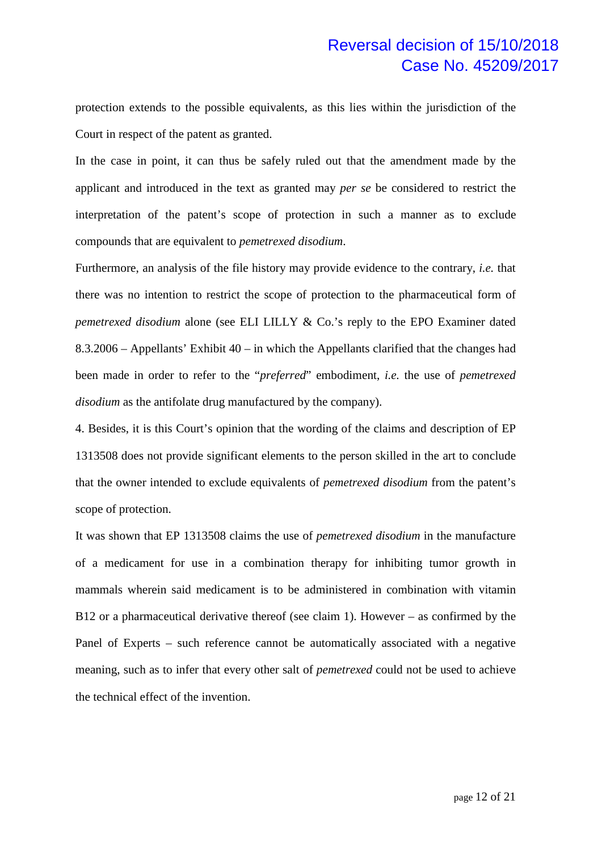protection extends to the possible equivalents, as this lies within the jurisdiction of the Court in respect of the patent as granted.

In the case in point, it can thus be safely ruled out that the amendment made by the applicant and introduced in the text as granted may *per se* be considered to restrict the interpretation of the patent's scope of protection in such a manner as to exclude compounds that are equivalent to *pemetrexed disodium*.

Furthermore, an analysis of the file history may provide evidence to the contrary, *i.e.* that there was no intention to restrict the scope of protection to the pharmaceutical form of *pemetrexed disodium* alone (see ELI LILLY & Co.'s reply to the EPO Examiner dated 8.3.2006 – Appellants' Exhibit 40 – in which the Appellants clarified that the changes had been made in order to refer to the "*preferred*" embodiment, *i.e.* the use of *pemetrexed disodium* as the antifolate drug manufactured by the company).

4. Besides, it is this Court's opinion that the wording of the claims and description of EP 1313508 does not provide significant elements to the person skilled in the art to conclude that the owner intended to exclude equivalents of *pemetrexed disodium* from the patent's scope of protection.

It was shown that EP 1313508 claims the use of *pemetrexed disodium* in the manufacture of a medicament for use in a combination therapy for inhibiting tumor growth in mammals wherein said medicament is to be administered in combination with vitamin B12 or a pharmaceutical derivative thereof (see claim 1). However – as confirmed by the Panel of Experts – such reference cannot be automatically associated with a negative meaning, such as to infer that every other salt of *pemetrexed* could not be used to achieve the technical effect of the invention.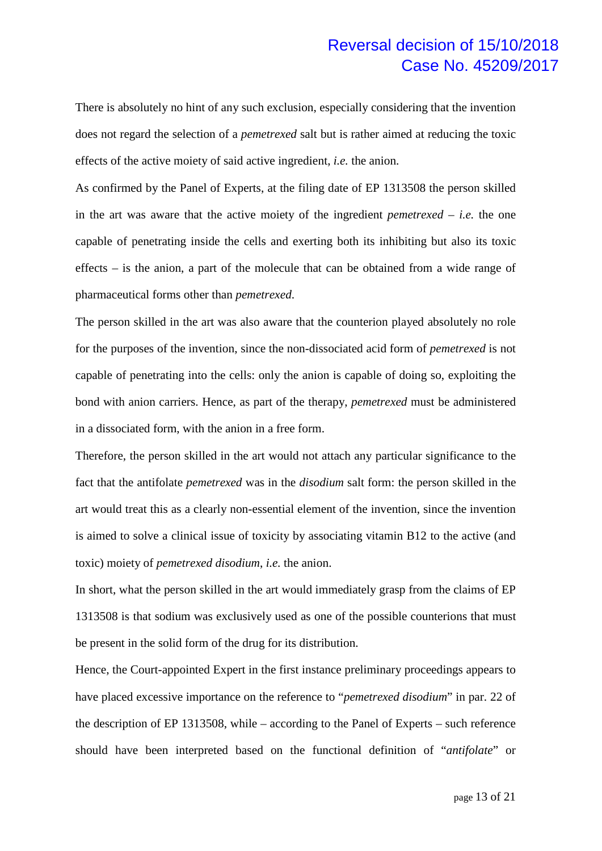There is absolutely no hint of any such exclusion, especially considering that the invention does not regard the selection of a *pemetrexed* salt but is rather aimed at reducing the toxic effects of the active moiety of said active ingredient, *i.e.* the anion.

As confirmed by the Panel of Experts, at the filing date of EP 1313508 the person skilled in the art was aware that the active moiety of the ingredient *pemetrexed* – *i.e.* the one capable of penetrating inside the cells and exerting both its inhibiting but also its toxic effects – is the anion, a part of the molecule that can be obtained from a wide range of pharmaceutical forms other than *pemetrexed*.

The person skilled in the art was also aware that the counterion played absolutely no role for the purposes of the invention, since the non-dissociated acid form of *pemetrexed* is not capable of penetrating into the cells: only the anion is capable of doing so, exploiting the bond with anion carriers. Hence, as part of the therapy, *pemetrexed* must be administered in a dissociated form, with the anion in a free form.

Therefore, the person skilled in the art would not attach any particular significance to the fact that the antifolate *pemetrexed* was in the *disodium* salt form: the person skilled in the art would treat this as a clearly non-essential element of the invention, since the invention is aimed to solve a clinical issue of toxicity by associating vitamin B12 to the active (and toxic) moiety of *pemetrexed disodium*, *i.e.* the anion.

In short, what the person skilled in the art would immediately grasp from the claims of EP 1313508 is that sodium was exclusively used as one of the possible counterions that must be present in the solid form of the drug for its distribution.

Hence, the Court-appointed Expert in the first instance preliminary proceedings appears to have placed excessive importance on the reference to "*pemetrexed disodium*" in par. 22 of the description of EP 1313508, while – according to the Panel of Experts – such reference should have been interpreted based on the functional definition of "*antifolate*" or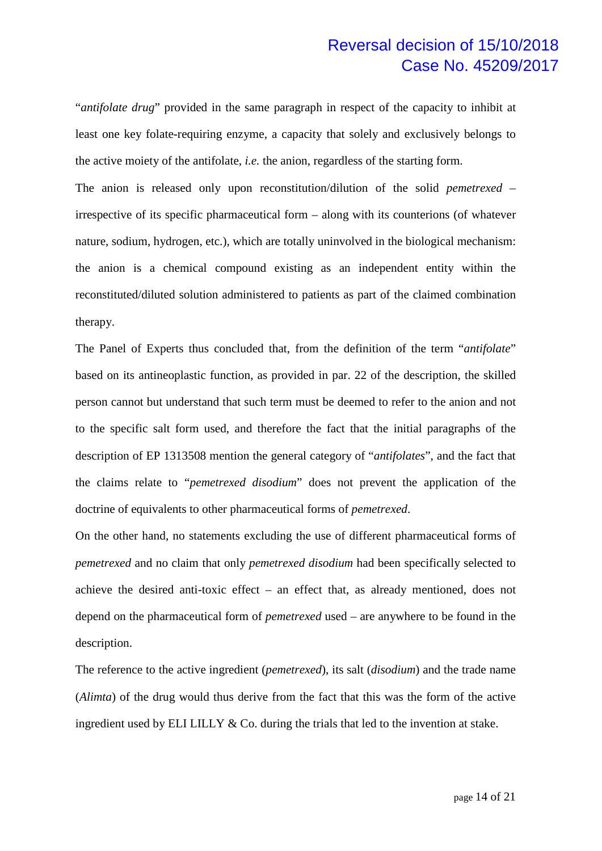"*antifolate drug*" provided in the same paragraph in respect of the capacity to inhibit at least one key folate-requiring enzyme, a capacity that solely and exclusively belongs to the active moiety of the antifolate, *i.e.* the anion, regardless of the starting form.

The anion is released only upon reconstitution/dilution of the solid *pemetrexed* – irrespective of its specific pharmaceutical form – along with its counterions (of whatever nature, sodium, hydrogen, etc.), which are totally uninvolved in the biological mechanism: the anion is a chemical compound existing as an independent entity within the reconstituted/diluted solution administered to patients as part of the claimed combination therapy.

The Panel of Experts thus concluded that, from the definition of the term "*antifolate*" based on its antineoplastic function, as provided in par. 22 of the description, the skilled person cannot but understand that such term must be deemed to refer to the anion and not to the specific salt form used, and therefore the fact that the initial paragraphs of the description of EP 1313508 mention the general category of "*antifolates*", and the fact that the claims relate to "*pemetrexed disodium*" does not prevent the application of the doctrine of equivalents to other pharmaceutical forms of *pemetrexed*.

On the other hand, no statements excluding the use of different pharmaceutical forms of *pemetrexed* and no claim that only *pemetrexed disodium* had been specifically selected to achieve the desired anti-toxic effect – an effect that, as already mentioned, does not depend on the pharmaceutical form of *pemetrexed* used – are anywhere to be found in the description.

The reference to the active ingredient (*pemetrexed*), its salt (*disodium*) and the trade name (*Alimta*) of the drug would thus derive from the fact that this was the form of the active ingredient used by ELI LILLY & Co. during the trials that led to the invention at stake.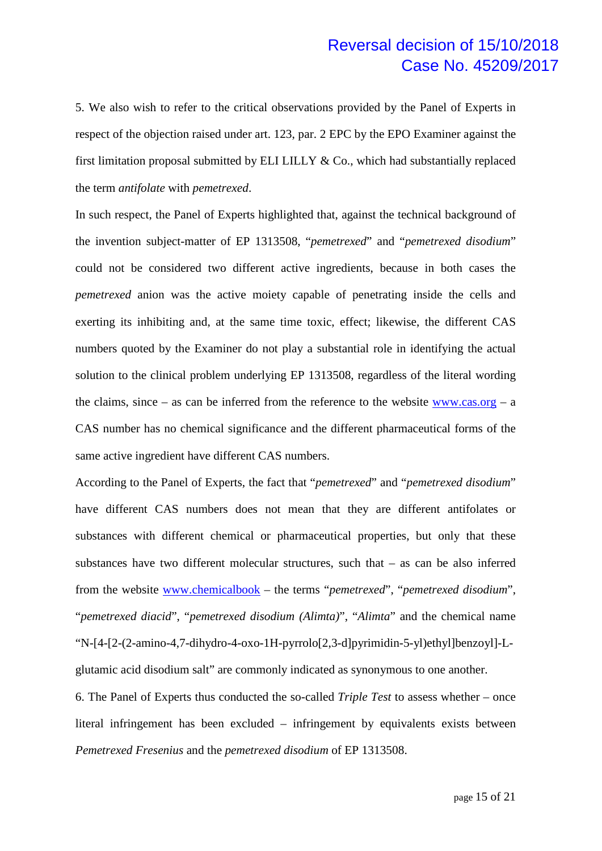5. We also wish to refer to the critical observations provided by the Panel of Experts in respect of the objection raised under art. 123, par. 2 EPC by the EPO Examiner against the first limitation proposal submitted by ELI LILLY  $\&$  Co., which had substantially replaced the term *antifolate* with *pemetrexed*.

In such respect, the Panel of Experts highlighted that, against the technical background of the invention subject-matter of EP 1313508, "*pemetrexed*" and "*pemetrexed disodium*" could not be considered two different active ingredients, because in both cases the *pemetrexed* anion was the active moiety capable of penetrating inside the cells and exerting its inhibiting and, at the same time toxic, effect; likewise, the different CAS numbers quoted by the Examiner do not play a substantial role in identifying the actual solution to the clinical problem underlying EP 1313508, regardless of the literal wording the claims, since – as can be inferred from the reference to the website  $www.cas.org - a$ CAS number has no chemical significance and the different pharmaceutical forms of the same active ingredient have different CAS numbers.

According to the Panel of Experts, the fact that "*pemetrexed*" and "*pemetrexed disodium*" have different CAS numbers does not mean that they are different antifolates or substances with different chemical or pharmaceutical properties, but only that these substances have two different molecular structures, such that – as can be also inferred from the website www.chemicalbook – the terms "*pemetrexed*", "*pemetrexed disodium*", "*pemetrexed diacid*", "*pemetrexed disodium (Alimta)*", "*Alimta*" and the chemical name "N-[4-[2-(2-amino-4,7-dihydro-4-oxo-1H-pyrrolo[2,3-d]pyrimidin-5-yl)ethyl]benzoyl]-Lglutamic acid disodium salt" are commonly indicated as synonymous to one another.

6. The Panel of Experts thus conducted the so-called *Triple Test* to assess whether – once literal infringement has been excluded – infringement by equivalents exists between *Pemetrexed Fresenius* and the *pemetrexed disodium* of EP 1313508.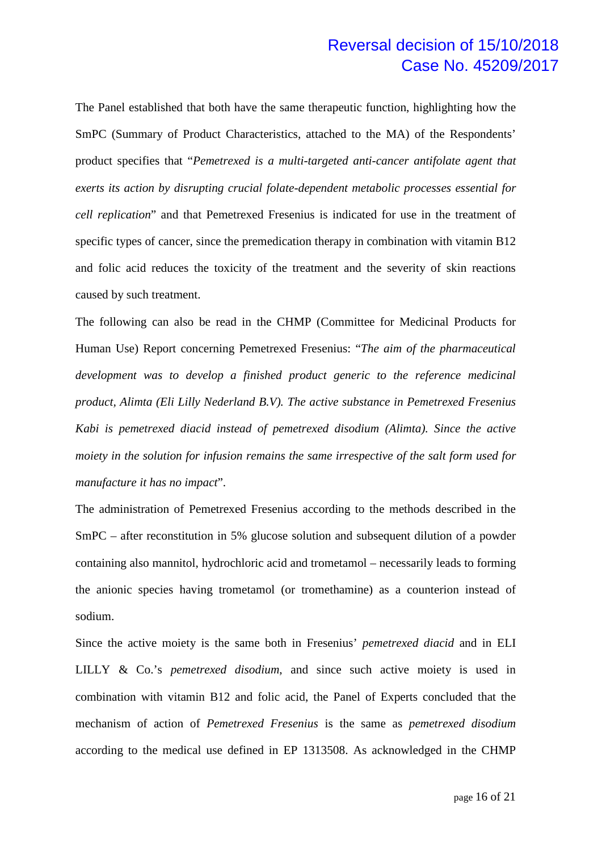The Panel established that both have the same therapeutic function, highlighting how the SmPC (Summary of Product Characteristics, attached to the MA) of the Respondents' product specifies that "*Pemetrexed is a multi-targeted anti-cancer antifolate agent that exerts its action by disrupting crucial folate-dependent metabolic processes essential for cell replication*" and that Pemetrexed Fresenius is indicated for use in the treatment of specific types of cancer, since the premedication therapy in combination with vitamin B12 and folic acid reduces the toxicity of the treatment and the severity of skin reactions caused by such treatment.

The following can also be read in the CHMP (Committee for Medicinal Products for Human Use) Report concerning Pemetrexed Fresenius: "*The aim of the pharmaceutical development was to develop a finished product generic to the reference medicinal product, Alimta (Eli Lilly Nederland B.V). The active substance in Pemetrexed Fresenius Kabi is pemetrexed diacid instead of pemetrexed disodium (Alimta). Since the active moiety in the solution for infusion remains the same irrespective of the salt form used for manufacture it has no impact*".

The administration of Pemetrexed Fresenius according to the methods described in the SmPC – after reconstitution in 5% glucose solution and subsequent dilution of a powder containing also mannitol, hydrochloric acid and trometamol – necessarily leads to forming the anionic species having trometamol (or tromethamine) as a counterion instead of sodium.

Since the active moiety is the same both in Fresenius' *pemetrexed diacid* and in ELI LILLY & Co.'s *pemetrexed disodium*, and since such active moiety is used in combination with vitamin B12 and folic acid, the Panel of Experts concluded that the mechanism of action of *Pemetrexed Fresenius* is the same as *pemetrexed disodium* according to the medical use defined in EP 1313508. As acknowledged in the CHMP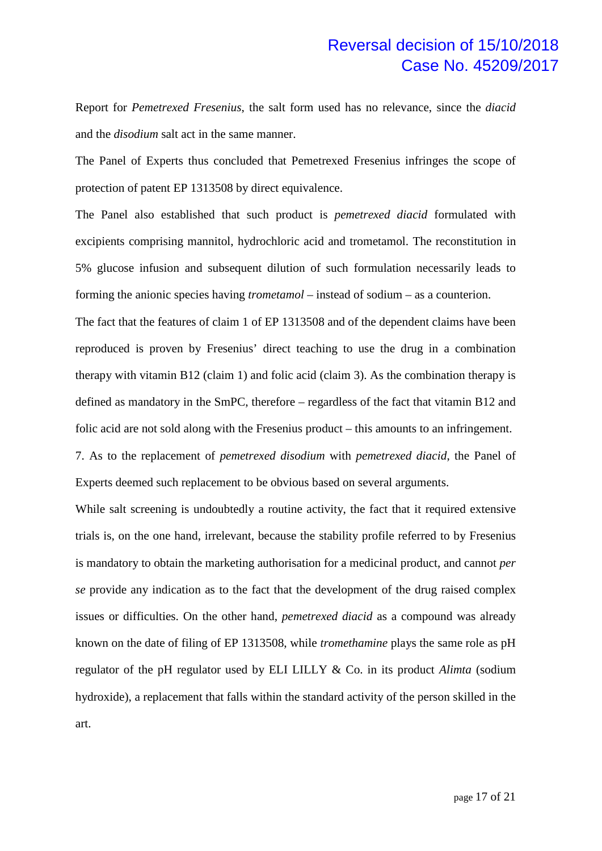Report for *Pemetrexed Fresenius*, the salt form used has no relevance, since the *diacid*  and the *disodium* salt act in the same manner.

The Panel of Experts thus concluded that Pemetrexed Fresenius infringes the scope of protection of patent EP 1313508 by direct equivalence.

The Panel also established that such product is *pemetrexed diacid* formulated with excipients comprising mannitol, hydrochloric acid and trometamol. The reconstitution in 5% glucose infusion and subsequent dilution of such formulation necessarily leads to forming the anionic species having *trometamol* – instead of sodium – as a counterion.

The fact that the features of claim 1 of EP 1313508 and of the dependent claims have been reproduced is proven by Fresenius' direct teaching to use the drug in a combination therapy with vitamin B12 (claim 1) and folic acid (claim 3). As the combination therapy is defined as mandatory in the SmPC, therefore – regardless of the fact that vitamin B12 and folic acid are not sold along with the Fresenius product – this amounts to an infringement.

7. As to the replacement of *pemetrexed disodium* with *pemetrexed diacid*, the Panel of Experts deemed such replacement to be obvious based on several arguments.

While salt screening is undoubtedly a routine activity, the fact that it required extensive trials is, on the one hand, irrelevant, because the stability profile referred to by Fresenius is mandatory to obtain the marketing authorisation for a medicinal product, and cannot *per se* provide any indication as to the fact that the development of the drug raised complex issues or difficulties. On the other hand, *pemetrexed diacid* as a compound was already known on the date of filing of EP 1313508, while *tromethamine* plays the same role as pH regulator of the pH regulator used by ELI LILLY & Co. in its product *Alimta* (sodium hydroxide), a replacement that falls within the standard activity of the person skilled in the art.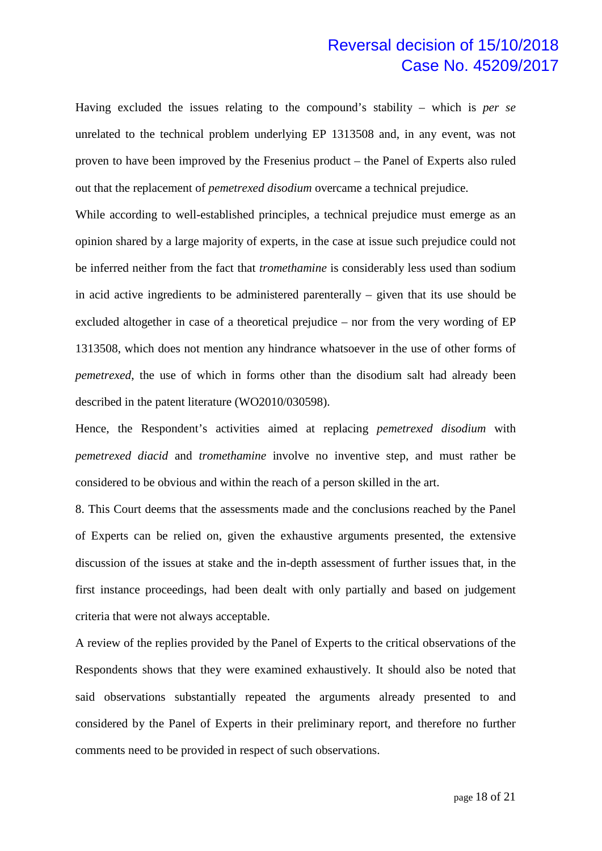Having excluded the issues relating to the compound's stability – which is *per se*  unrelated to the technical problem underlying EP 1313508 and, in any event, was not proven to have been improved by the Fresenius product – the Panel of Experts also ruled out that the replacement of *pemetrexed disodium* overcame a technical prejudice.

While according to well-established principles, a technical prejudice must emerge as an opinion shared by a large majority of experts, in the case at issue such prejudice could not be inferred neither from the fact that *tromethamine* is considerably less used than sodium in acid active ingredients to be administered parenterally – given that its use should be excluded altogether in case of a theoretical prejudice – nor from the very wording of EP 1313508, which does not mention any hindrance whatsoever in the use of other forms of *pemetrexed*, the use of which in forms other than the disodium salt had already been described in the patent literature (WO2010/030598).

Hence, the Respondent's activities aimed at replacing *pemetrexed disodium* with *pemetrexed diacid* and *tromethamine* involve no inventive step, and must rather be considered to be obvious and within the reach of a person skilled in the art.

8. This Court deems that the assessments made and the conclusions reached by the Panel of Experts can be relied on, given the exhaustive arguments presented, the extensive discussion of the issues at stake and the in-depth assessment of further issues that, in the first instance proceedings, had been dealt with only partially and based on judgement criteria that were not always acceptable.

A review of the replies provided by the Panel of Experts to the critical observations of the Respondents shows that they were examined exhaustively. It should also be noted that said observations substantially repeated the arguments already presented to and considered by the Panel of Experts in their preliminary report, and therefore no further comments need to be provided in respect of such observations.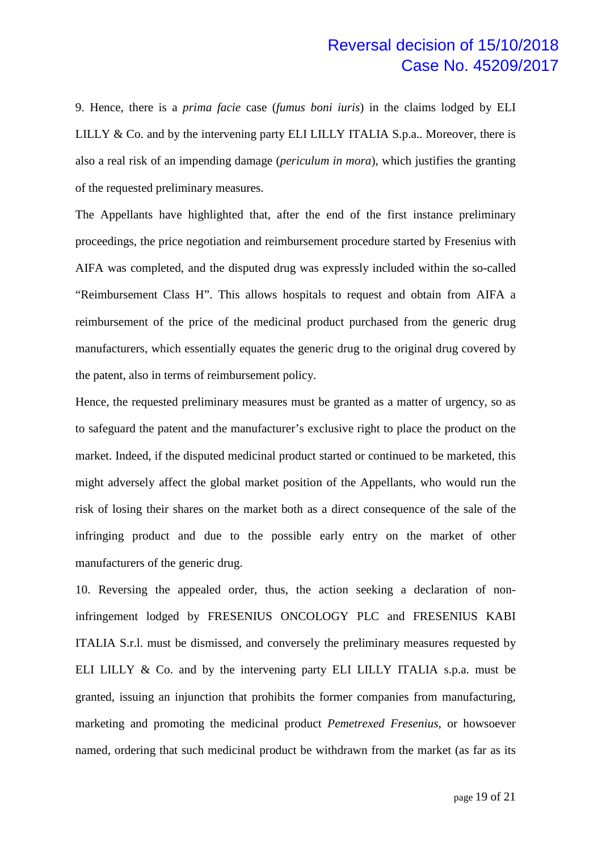9. Hence, there is a *prima facie* case (*fumus boni iuris*) in the claims lodged by ELI LILLY  $\&$  Co. and by the intervening party ELI LILLY ITALIA S.p.a.. Moreover, there is also a real risk of an impending damage (*periculum in mora*), which justifies the granting of the requested preliminary measures.

The Appellants have highlighted that, after the end of the first instance preliminary proceedings, the price negotiation and reimbursement procedure started by Fresenius with AIFA was completed, and the disputed drug was expressly included within the so-called "Reimbursement Class H". This allows hospitals to request and obtain from AIFA a reimbursement of the price of the medicinal product purchased from the generic drug manufacturers, which essentially equates the generic drug to the original drug covered by the patent, also in terms of reimbursement policy.

Hence, the requested preliminary measures must be granted as a matter of urgency, so as to safeguard the patent and the manufacturer's exclusive right to place the product on the market. Indeed, if the disputed medicinal product started or continued to be marketed, this might adversely affect the global market position of the Appellants, who would run the risk of losing their shares on the market both as a direct consequence of the sale of the infringing product and due to the possible early entry on the market of other manufacturers of the generic drug.

10. Reversing the appealed order, thus, the action seeking a declaration of noninfringement lodged by FRESENIUS ONCOLOGY PLC and FRESENIUS KABI ITALIA S.r.l. must be dismissed, and conversely the preliminary measures requested by ELI LILLY & Co. and by the intervening party ELI LILLY ITALIA s.p.a. must be granted, issuing an injunction that prohibits the former companies from manufacturing, marketing and promoting the medicinal product *Pemetrexed Fresenius*, or howsoever named, ordering that such medicinal product be withdrawn from the market (as far as its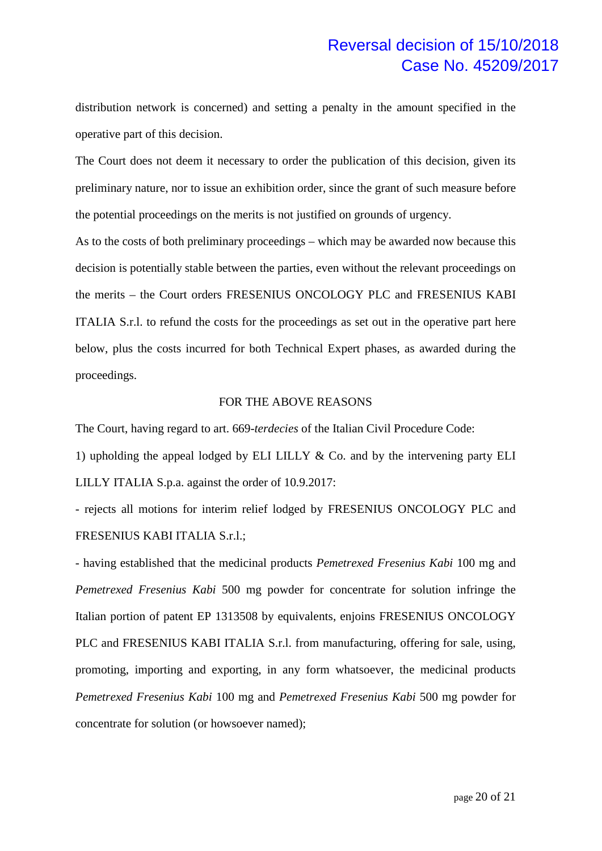distribution network is concerned) and setting a penalty in the amount specified in the operative part of this decision.

The Court does not deem it necessary to order the publication of this decision, given its preliminary nature, nor to issue an exhibition order, since the grant of such measure before the potential proceedings on the merits is not justified on grounds of urgency.

As to the costs of both preliminary proceedings – which may be awarded now because this decision is potentially stable between the parties, even without the relevant proceedings on the merits – the Court orders FRESENIUS ONCOLOGY PLC and FRESENIUS KABI ITALIA S.r.l. to refund the costs for the proceedings as set out in the operative part here below, plus the costs incurred for both Technical Expert phases, as awarded during the proceedings.

#### FOR THE ABOVE REASONS

The Court, having regard to art. 669-*terdecies* of the Italian Civil Procedure Code:

1) upholding the appeal lodged by ELI LILLY & Co. and by the intervening party ELI LILLY ITALIA S.p.a. against the order of 10.9.2017:

- rejects all motions for interim relief lodged by FRESENIUS ONCOLOGY PLC and FRESENIUS KABI ITALIA S.r.l.;

- having established that the medicinal products *Pemetrexed Fresenius Kabi* 100 mg and *Pemetrexed Fresenius Kabi* 500 mg powder for concentrate for solution infringe the Italian portion of patent EP 1313508 by equivalents, enjoins FRESENIUS ONCOLOGY PLC and FRESENIUS KABI ITALIA S.r.l. from manufacturing, offering for sale, using, promoting, importing and exporting, in any form whatsoever, the medicinal products *Pemetrexed Fresenius Kabi* 100 mg and *Pemetrexed Fresenius Kabi* 500 mg powder for concentrate for solution (or howsoever named);